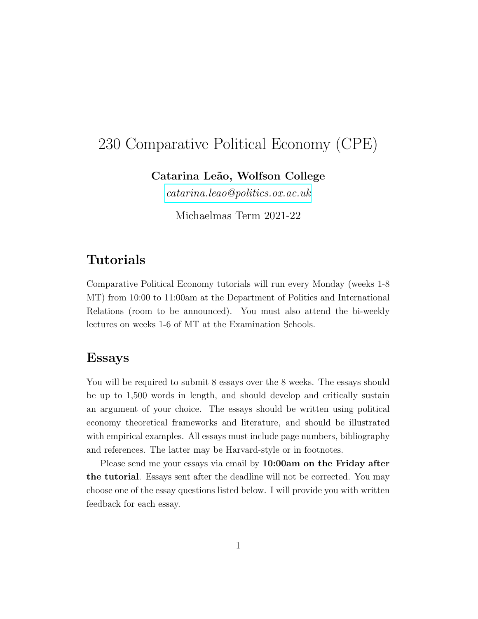# 230 Comparative Political Economy (CPE)

Catarina Leão, Wolfson College

[catarina.leao@politics.ox.ac.uk](mailto:catarina.leao@politics.ox.ac.uk)

Michaelmas Term 2021-22

# Tutorials

Comparative Political Economy tutorials will run every Monday (weeks 1-8 MT) from 10:00 to 11:00am at the Department of Politics and International Relations (room to be announced). You must also attend the bi-weekly lectures on weeks 1-6 of MT at the Examination Schools.

# Essays

You will be required to submit 8 essays over the 8 weeks. The essays should be up to 1,500 words in length, and should develop and critically sustain an argument of your choice. The essays should be written using political economy theoretical frameworks and literature, and should be illustrated with empirical examples. All essays must include page numbers, bibliography and references. The latter may be Harvard-style or in footnotes.

Please send me your essays via email by 10:00am on the Friday after the tutorial. Essays sent after the deadline will not be corrected. You may choose one of the essay questions listed below. I will provide you with written feedback for each essay.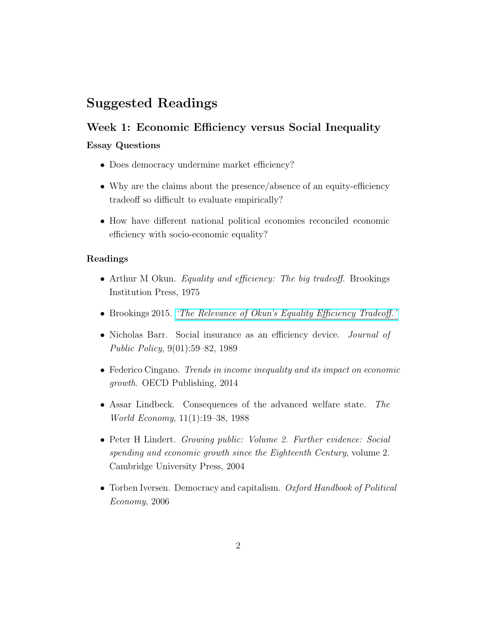# Suggested Readings

# Week 1: Economic Efficiency versus Social Inequality

### Essay Questions

- Does democracy undermine market efficiency?
- Why are the claims about the presence/absence of an equity-efficiency tradeoff so difficult to evaluate empirically?
- How have different national political economies reconciled economic efficiency with socio-economic equality?

- Arthur M Okun. *Equality and efficiency: The big tradeoff*. Brookings Institution Press, 1975
- Brookings 2015. ['The Relevance of Okun's Equality Efficiency Tradeoff.'](https://www.brookings.edu/book/equality-and-efficiency-the-big-tradeoff/)
- Nicholas Barr. Social insurance as an efficiency device. *Journal of* Public Policy, 9(01):59–82, 1989
- Federico Cingano. Trends in income inequality and its impact on economic growth. OECD Publishing, 2014
- Assar Lindbeck. Consequences of the advanced welfare state. The World Economy, 11(1):19–38, 1988
- Peter H Lindert. Growing public: Volume 2. Further evidence: Social spending and economic growth since the Eighteenth Century, volume 2. Cambridge University Press, 2004
- Torben Iversen. Democracy and capitalism. Oxford Handbook of Political Economy, 2006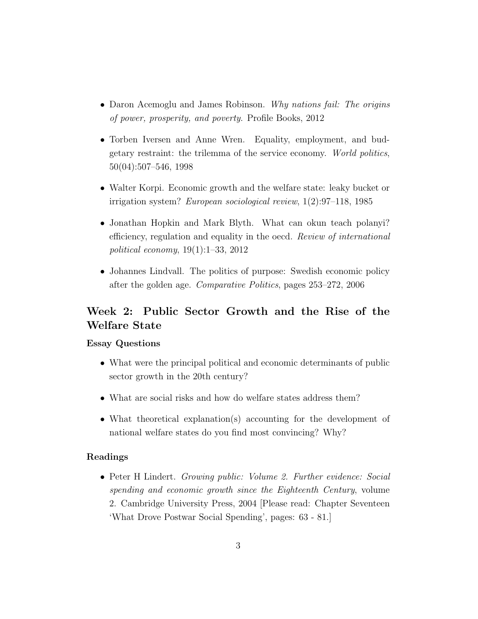- Daron Acemoglu and James Robinson. Why nations fail: The origins of power, prosperity, and poverty. Profile Books, 2012
- Torben Iversen and Anne Wren. Equality, employment, and budgetary restraint: the trilemma of the service economy. World politics, 50(04):507–546, 1998
- Walter Korpi. Economic growth and the welfare state: leaky bucket or irrigation system? European sociological review, 1(2):97–118, 1985
- Jonathan Hopkin and Mark Blyth. What can okun teach polanyi? efficiency, regulation and equality in the oecd. Review of international political economy, 19(1):1–33, 2012
- Johannes Lindvall. The politics of purpose: Swedish economic policy after the golden age. Comparative Politics, pages 253–272, 2006

# Week 2: Public Sector Growth and the Rise of the Welfare State

# Essay Questions

- What were the principal political and economic determinants of public sector growth in the 20th century?
- What are social risks and how do welfare states address them?
- What theoretical explanation(s) accounting for the development of national welfare states do you find most convincing? Why?

#### Readings

• Peter H Lindert. Growing public: Volume 2. Further evidence: Social spending and economic growth since the Eighteenth Century, volume 2. Cambridge University Press, 2004 [Please read: Chapter Seventeen 'What Drove Postwar Social Spending', pages: 63 - 81.]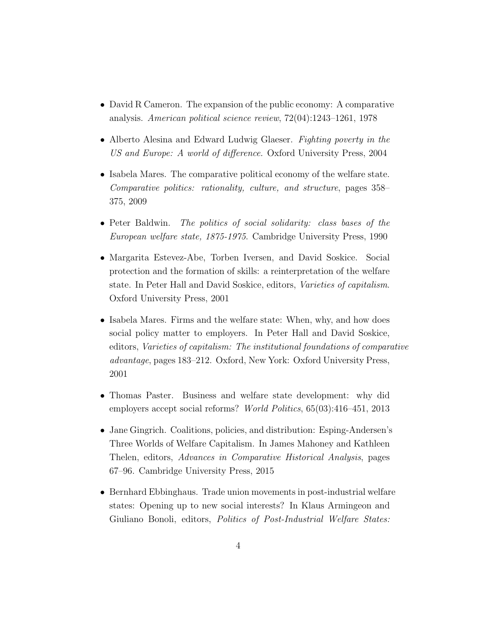- David R Cameron. The expansion of the public economy: A comparative analysis. American political science review, 72(04):1243–1261, 1978
- Alberto Alesina and Edward Ludwig Glaeser. Fighting poverty in the US and Europe: A world of difference. Oxford University Press, 2004
- Isabela Mares. The comparative political economy of the welfare state. Comparative politics: rationality, culture, and structure, pages 358– 375, 2009
- Peter Baldwin. The politics of social solidarity: class bases of the European welfare state, 1875-1975. Cambridge University Press, 1990
- Margarita Estevez-Abe, Torben Iversen, and David Soskice. Social protection and the formation of skills: a reinterpretation of the welfare state. In Peter Hall and David Soskice, editors, Varieties of capitalism. Oxford University Press, 2001
- Isabela Mares. Firms and the welfare state: When, why, and how does social policy matter to employers. In Peter Hall and David Soskice, editors, Varieties of capitalism: The institutional foundations of comparative advantage, pages 183–212. Oxford, New York: Oxford University Press, 2001
- Thomas Paster. Business and welfare state development: why did employers accept social reforms? World Politics, 65(03):416-451, 2013
- Jane Gingrich. Coalitions, policies, and distribution: Esping-Andersen's Three Worlds of Welfare Capitalism. In James Mahoney and Kathleen Thelen, editors, Advances in Comparative Historical Analysis, pages 67–96. Cambridge University Press, 2015
- Bernhard Ebbinghaus. Trade union movements in post-industrial welfare states: Opening up to new social interests? In Klaus Armingeon and Giuliano Bonoli, editors, Politics of Post-Industrial Welfare States: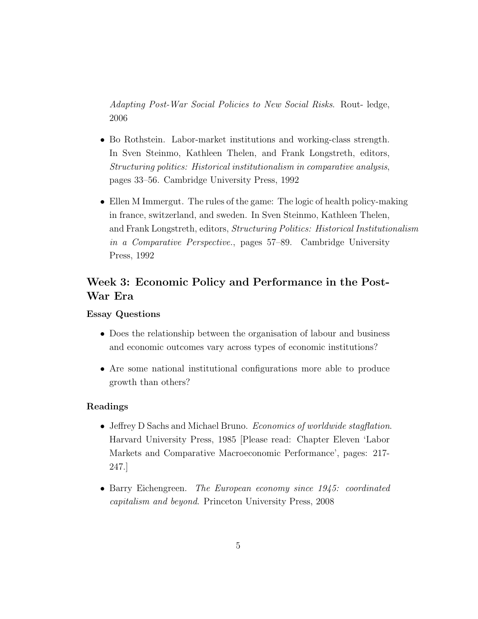Adapting Post-War Social Policies to New Social Risks. Rout- ledge, 2006

- Bo Rothstein. Labor-market institutions and working-class strength. In Sven Steinmo, Kathleen Thelen, and Frank Longstreth, editors, Structuring politics: Historical institutionalism in comparative analysis, pages 33–56. Cambridge University Press, 1992
- Ellen M Immergut. The rules of the game: The logic of health policy-making in france, switzerland, and sweden. In Sven Steinmo, Kathleen Thelen, and Frank Longstreth, editors, Structuring Politics: Historical Institutionalism in a Comparative Perspective., pages 57–89. Cambridge University Press, 1992

# Week 3: Economic Policy and Performance in the Post-War Era

# Essay Questions

- Does the relationship between the organisation of labour and business and economic outcomes vary across types of economic institutions?
- Are some national institutional configurations more able to produce growth than others?

- Jeffrey D Sachs and Michael Bruno. Economics of worldwide stagflation. Harvard University Press, 1985 [Please read: Chapter Eleven 'Labor Markets and Comparative Macroeconomic Performance', pages: 217- 247.]
- Barry Eichengreen. The European economy since 1945: coordinated capitalism and beyond. Princeton University Press, 2008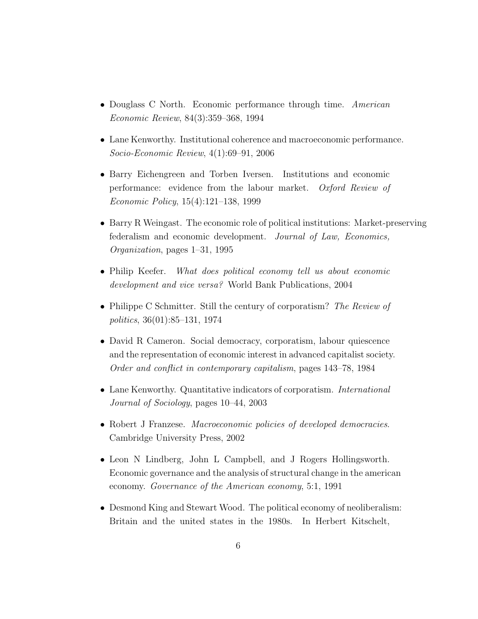- Douglass C North. Economic performance through time. American Economic Review, 84(3):359–368, 1994
- Lane Kenworthy. Institutional coherence and macroeconomic performance. Socio-Economic Review, 4(1):69–91, 2006
- Barry Eichengreen and Torben Iversen. Institutions and economic performance: evidence from the labour market. Oxford Review of Economic Policy, 15(4):121–138, 1999
- Barry R Weingast. The economic role of political institutions: Market-preserving federalism and economic development. Journal of Law, Economics, Organization, pages 1–31, 1995
- Philip Keefer. What does political economy tell us about economic development and vice versa? World Bank Publications, 2004
- Philippe C Schmitter. Still the century of corporatism? The Review of politics, 36(01):85–131, 1974
- David R Cameron. Social democracy, corporatism, labour quiescence and the representation of economic interest in advanced capitalist society. Order and conflict in contemporary capitalism, pages 143–78, 1984
- Lane Kenworthy. Quantitative indicators of corporatism. *International* Journal of Sociology, pages 10–44, 2003
- Robert J Franzese. Macroeconomic policies of developed democracies. Cambridge University Press, 2002
- Leon N Lindberg, John L Campbell, and J Rogers Hollingsworth. Economic governance and the analysis of structural change in the american economy. Governance of the American economy, 5:1, 1991
- Desmond King and Stewart Wood. The political economy of neoliberalism: Britain and the united states in the 1980s. In Herbert Kitschelt,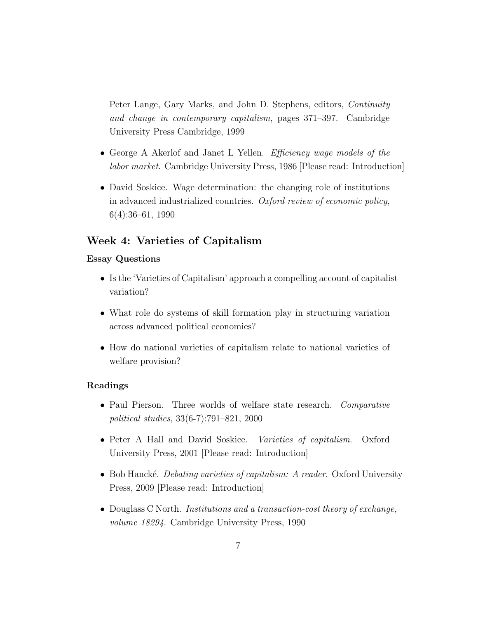Peter Lange, Gary Marks, and John D. Stephens, editors, Continuity and change in contemporary capitalism, pages 371–397. Cambridge University Press Cambridge, 1999

- George A Akerlof and Janet L Yellen. Efficiency wage models of the labor market. Cambridge University Press, 1986 [Please read: Introduction]
- David Soskice. Wage determination: the changing role of institutions in advanced industrialized countries. Oxford review of economic policy, 6(4):36–61, 1990

# Week 4: Varieties of Capitalism

#### Essay Questions

- Is the 'Varieties of Capitalism' approach a compelling account of capitalist variation?
- What role do systems of skill formation play in structuring variation across advanced political economies?
- How do national varieties of capitalism relate to national varieties of welfare provision?

- Paul Pierson. Three worlds of welfare state research. Comparative political studies, 33(6-7):791–821, 2000
- Peter A Hall and David Soskice. Varieties of capitalism. Oxford University Press, 2001 [Please read: Introduction]
- Bob Hancké. Debating varieties of capitalism: A reader. Oxford University Press, 2009 [Please read: Introduction]
- Douglass C North. *Institutions and a transaction-cost theory of exchange*, volume 18294. Cambridge University Press, 1990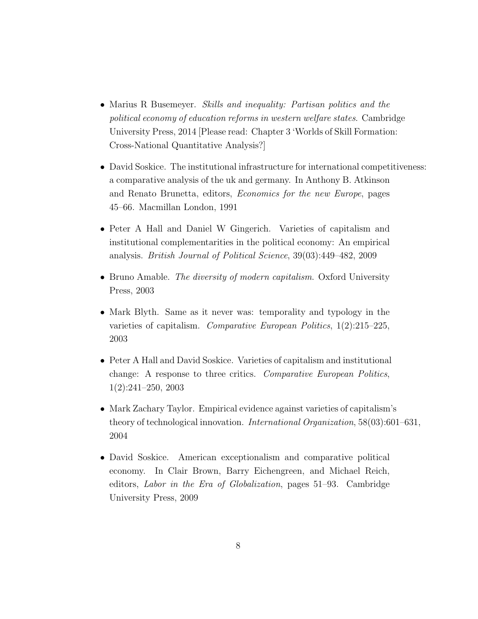- Marius R Busemeyer. Skills and inequality: Partisan politics and the political economy of education reforms in western welfare states. Cambridge University Press, 2014 [Please read: Chapter 3 'Worlds of Skill Formation: Cross-National Quantitative Analysis?]
- David Soskice. The institutional infrastructure for international competitiveness: a comparative analysis of the uk and germany. In Anthony B. Atkinson and Renato Brunetta, editors, Economics for the new Europe, pages 45–66. Macmillan London, 1991
- Peter A Hall and Daniel W Gingerich. Varieties of capitalism and institutional complementarities in the political economy: An empirical analysis. British Journal of Political Science, 39(03):449–482, 2009
- Bruno Amable. The diversity of modern capitalism. Oxford University Press, 2003
- Mark Blyth. Same as it never was: temporality and typology in the varieties of capitalism. Comparative European Politics,  $1(2):215-225$ , 2003
- Peter A Hall and David Soskice. Varieties of capitalism and institutional change: A response to three critics. Comparative European Politics, 1(2):241–250, 2003
- Mark Zachary Taylor. Empirical evidence against varieties of capitalism's theory of technological innovation. International Organization, 58(03):601–631, 2004
- David Soskice. American exceptionalism and comparative political economy. In Clair Brown, Barry Eichengreen, and Michael Reich, editors, Labor in the Era of Globalization, pages 51–93. Cambridge University Press, 2009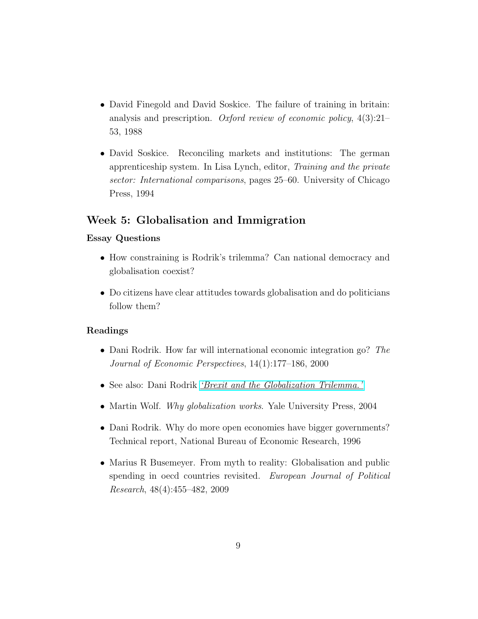- David Finegold and David Soskice. The failure of training in britain: analysis and prescription. Oxford review of economic policy,  $4(3):21-$ 53, 1988
- David Soskice. Reconciling markets and institutions: The german apprenticeship system. In Lisa Lynch, editor, Training and the private sector: International comparisons, pages 25–60. University of Chicago Press, 1994

# Week 5: Globalisation and Immigration

### Essay Questions

- How constraining is Rodrik's trilemma? Can national democracy and globalisation coexist?
- Do citizens have clear attitudes towards globalisation and do politicians follow them?

- Dani Rodrik. How far will international economic integration go? The Journal of Economic Perspectives, 14(1):177–186, 2000
- See also: Dani Rodrik *['Brexit and the Globalization Trilemma.'](https://rodrik.typepad.com/dani_rodriks_weblog/2016/06/brexit-and-the-globalization-trilemma.html)*
- Martin Wolf. Why globalization works. Yale University Press, 2004
- Dani Rodrik. Why do more open economies have bigger governments? Technical report, National Bureau of Economic Research, 1996
- Marius R Busemeyer. From myth to reality: Globalisation and public spending in oecd countries revisited. European Journal of Political Research, 48(4):455–482, 2009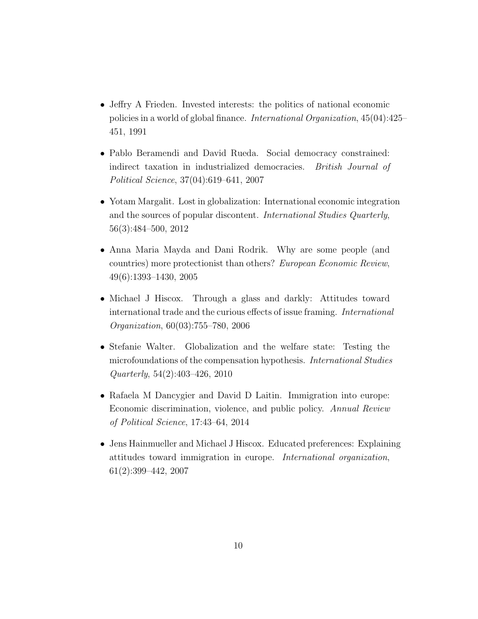- Jeffry A Frieden. Invested interests: the politics of national economic policies in a world of global finance. International Organization, 45(04):425– 451, 1991
- Pablo Beramendi and David Rueda. Social democracy constrained: indirect taxation in industrialized democracies. British Journal of Political Science, 37(04):619–641, 2007
- Yotam Margalit. Lost in globalization: International economic integration and the sources of popular discontent. International Studies Quarterly, 56(3):484–500, 2012
- Anna Maria Mayda and Dani Rodrik. Why are some people (and countries) more protectionist than others? European Economic Review, 49(6):1393–1430, 2005
- Michael J Hiscox. Through a glass and darkly: Attitudes toward international trade and the curious effects of issue framing. International Organization, 60(03):755–780, 2006
- Stefanie Walter. Globalization and the welfare state: Testing the microfoundations of the compensation hypothesis. International Studies Quarterly, 54(2):403–426, 2010
- Rafaela M Dancygier and David D Laitin. Immigration into europe: Economic discrimination, violence, and public policy. Annual Review of Political Science, 17:43–64, 2014
- Jens Hainmueller and Michael J Hiscox. Educated preferences: Explaining attitudes toward immigration in europe. International organization, 61(2):399–442, 2007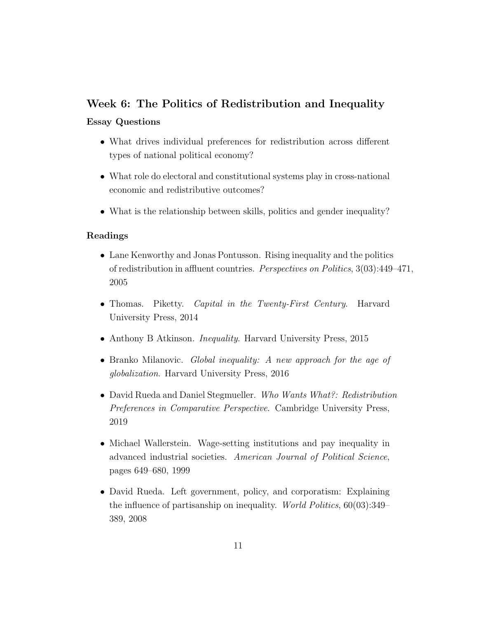# Week 6: The Politics of Redistribution and Inequality

# Essay Questions

- What drives individual preferences for redistribution across different types of national political economy?
- What role do electoral and constitutional systems play in cross-national economic and redistributive outcomes?
- What is the relationship between skills, politics and gender inequality?

- Lane Kenworthy and Jonas Pontusson. Rising inequality and the politics of redistribution in affluent countries. Perspectives on Politics, 3(03):449–471, 2005
- Thomas. Piketty. Capital in the Twenty-First Century. Harvard University Press, 2014
- Anthony B Atkinson. Inequality. Harvard University Press, 2015
- Branko Milanovic. Global inequality: A new approach for the age of globalization. Harvard University Press, 2016
- David Rueda and Daniel Stegmueller. Who Wants What?: Redistribution Preferences in Comparative Perspective. Cambridge University Press, 2019
- Michael Wallerstein. Wage-setting institutions and pay inequality in advanced industrial societies. American Journal of Political Science, pages 649–680, 1999
- David Rueda. Left government, policy, and corporatism: Explaining the influence of partisanship on inequality. World Politics, 60(03):349– 389, 2008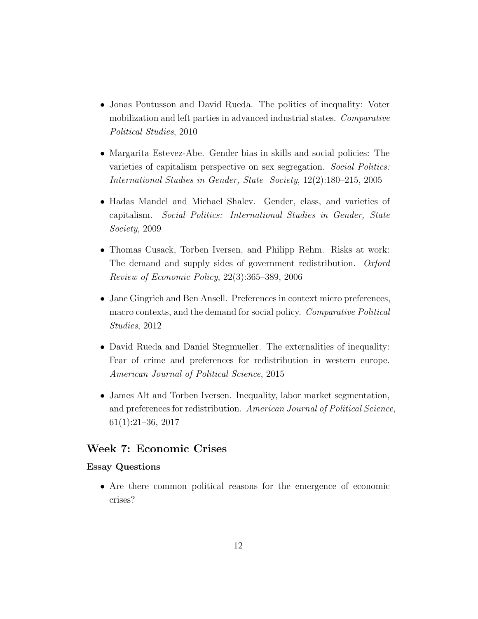- Jonas Pontusson and David Rueda. The politics of inequality: Voter mobilization and left parties in advanced industrial states. Comparative Political Studies, 2010
- Margarita Estevez-Abe. Gender bias in skills and social policies: The varieties of capitalism perspective on sex segregation. Social Politics: International Studies in Gender, State Society, 12(2):180–215, 2005
- Hadas Mandel and Michael Shalev. Gender, class, and varieties of capitalism. Social Politics: International Studies in Gender, State Society, 2009
- Thomas Cusack, Torben Iversen, and Philipp Rehm. Risks at work: The demand and supply sides of government redistribution. Oxford Review of Economic Policy, 22(3):365–389, 2006
- Jane Gingrich and Ben Ansell. Preferences in context micro preferences, macro contexts, and the demand for social policy. Comparative Political Studies, 2012
- David Rueda and Daniel Stegmueller. The externalities of inequality: Fear of crime and preferences for redistribution in western europe. American Journal of Political Science, 2015
- James Alt and Torben Iversen. Inequality, labor market segmentation, and preferences for redistribution. American Journal of Political Science, 61(1):21–36, 2017

# Week 7: Economic Crises

## Essay Questions

• Are there common political reasons for the emergence of economic crises?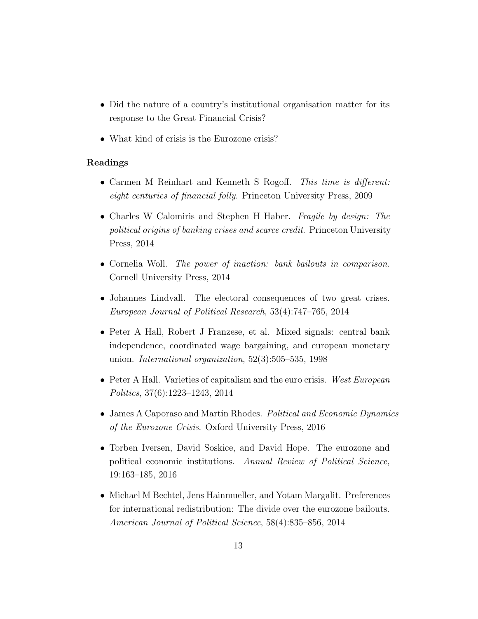- Did the nature of a country's institutional organisation matter for its response to the Great Financial Crisis?
- What kind of crisis is the Eurozone crisis?

- Carmen M Reinhart and Kenneth S Rogoff. This time is different: eight centuries of financial folly. Princeton University Press, 2009
- Charles W Calomiris and Stephen H Haber. *Fragile by design: The* political origins of banking crises and scarce credit. Princeton University Press, 2014
- Cornelia Woll. The power of inaction: bank bailouts in comparison. Cornell University Press, 2014
- Johannes Lindvall. The electoral consequences of two great crises. European Journal of Political Research, 53(4):747–765, 2014
- Peter A Hall, Robert J Franzese, et al. Mixed signals: central bank independence, coordinated wage bargaining, and european monetary union. International organization, 52(3):505–535, 1998
- Peter A Hall. Varieties of capitalism and the euro crisis. West European Politics, 37(6):1223–1243, 2014
- James A Caporaso and Martin Rhodes. *Political and Economic Dynamics* of the Eurozone Crisis. Oxford University Press, 2016
- Torben Iversen, David Soskice, and David Hope. The eurozone and political economic institutions. Annual Review of Political Science, 19:163–185, 2016
- Michael M Bechtel, Jens Hainmueller, and Yotam Margalit. Preferences for international redistribution: The divide over the eurozone bailouts. American Journal of Political Science, 58(4):835–856, 2014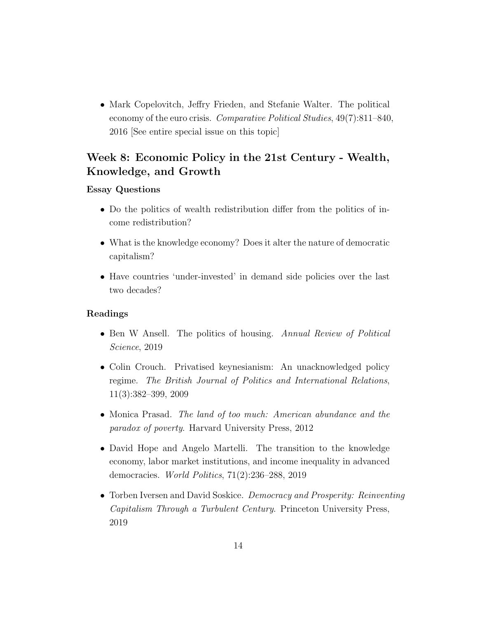• Mark Copelovitch, Jeffry Frieden, and Stefanie Walter. The political economy of the euro crisis. Comparative Political Studies, 49(7):811–840, 2016 [See entire special issue on this topic]

# Week 8: Economic Policy in the 21st Century - Wealth, Knowledge, and Growth

### Essay Questions

- Do the politics of wealth redistribution differ from the politics of income redistribution?
- What is the knowledge economy? Does it alter the nature of democratic capitalism?
- Have countries 'under-invested' in demand side policies over the last two decades?

- Ben W Ansell. The politics of housing. Annual Review of Political Science, 2019
- Colin Crouch. Privatised keynesianism: An unacknowledged policy regime. The British Journal of Politics and International Relations, 11(3):382–399, 2009
- Monica Prasad. The land of too much: American abundance and the paradox of poverty. Harvard University Press, 2012
- David Hope and Angelo Martelli. The transition to the knowledge economy, labor market institutions, and income inequality in advanced democracies. World Politics, 71(2):236–288, 2019
- Torben Iversen and David Soskice. Democracy and Prosperity: Reinventing Capitalism Through a Turbulent Century. Princeton University Press, 2019